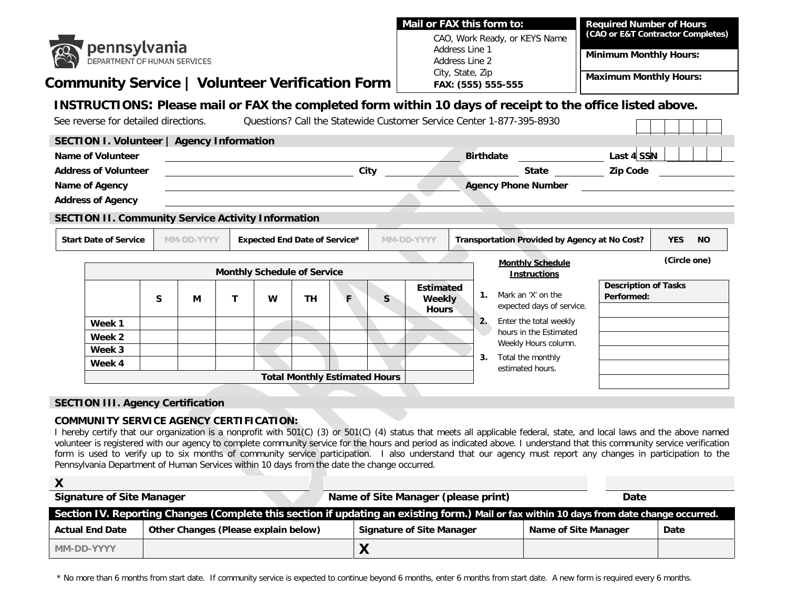|                                                            |                                           |            |              |                  |                                      |                                      |                                                 | Mail or FAX this form to:          |                               |                                                                      | <b>Required Number of Hours</b>                                                                           |              |
|------------------------------------------------------------|-------------------------------------------|------------|--------------|------------------|--------------------------------------|--------------------------------------|-------------------------------------------------|------------------------------------|-------------------------------|----------------------------------------------------------------------|-----------------------------------------------------------------------------------------------------------|--------------|
| <b>pennsylvania</b><br><b>DEPARTMENT OF HUMAN SERVICES</b> |                                           |            |              |                  |                                      |                                      | CAO, Work Ready, or KEYS Name<br>Address Line 1 |                                    |                               | (CAO or E&T Contractor Completes)                                    |                                                                                                           |              |
|                                                            |                                           |            |              |                  |                                      |                                      |                                                 |                                    |                               | <b>Minimum Monthly Hours:</b>                                        |                                                                                                           |              |
|                                                            |                                           |            |              |                  |                                      |                                      |                                                 | Address Line 2<br>City, State, Zip |                               |                                                                      |                                                                                                           |              |
| Community Service   Volunteer Verification Form            |                                           |            |              |                  |                                      | FAX: (555) 555-555                   |                                                 |                                    | <b>Maximum Monthly Hours:</b> |                                                                      |                                                                                                           |              |
|                                                            |                                           |            |              |                  |                                      |                                      |                                                 |                                    |                               |                                                                      | INSTRUCTIONS: Please mail or FAX the completed form within 10 days of receipt to the office listed above. |              |
| See reverse for detailed directions.                       |                                           |            |              |                  |                                      |                                      |                                                 |                                    |                               | Questions? Call the Statewide Customer Service Center 1-877-395-8930 |                                                                                                           |              |
|                                                            |                                           |            |              |                  |                                      |                                      |                                                 |                                    |                               |                                                                      |                                                                                                           |              |
| Name of Volunteer                                          | SECTION I. Volunteer   Agency Information |            |              |                  |                                      |                                      |                                                 | <b>Birthdate</b>                   |                               |                                                                      |                                                                                                           |              |
| <b>Address of Volunteer</b>                                |                                           |            |              | <u>City City</u> |                                      |                                      |                                                 |                                    |                               |                                                                      | State <b>Zip Code Zip Code</b>                                                                            |              |
| Name of Agency                                             |                                           |            |              |                  |                                      |                                      |                                                 |                                    |                               |                                                                      | <b>Agency Phone Number Agency Phone Number</b>                                                            |              |
| <b>Address of Agency</b>                                   |                                           |            |              |                  |                                      |                                      |                                                 |                                    |                               |                                                                      |                                                                                                           |              |
| <b>SECTION II. Community Service Activity Information</b>  |                                           |            |              |                  |                                      |                                      |                                                 |                                    |                               |                                                                      |                                                                                                           |              |
|                                                            |                                           |            |              |                  |                                      |                                      |                                                 |                                    |                               |                                                                      |                                                                                                           |              |
| <b>Start Date of Service</b>                               |                                           | MM-DD-YYYY |              |                  | <b>Expected End Date of Service*</b> |                                      |                                                 | MM-DD-YYYY                         |                               | Transportation Provided by Agency at No Cost?                        | <b>YES</b>                                                                                                | <b>NO</b>    |
|                                                            |                                           |            |              |                  |                                      |                                      |                                                 |                                    |                               | <b>Monthly Schedule</b>                                              |                                                                                                           | (Circle one) |
|                                                            |                                           |            |              |                  | <b>Monthly Schedule of Service</b>   |                                      |                                                 |                                    |                               | <b>Instructions</b>                                                  |                                                                                                           |              |
|                                                            |                                           |            |              |                  |                                      |                                      |                                                 | <b>Estimated</b>                   |                               | 1. Mark an 'X' on the                                                | <b>Description of Tasks</b>                                                                               |              |
|                                                            | S                                         | М          | $\mathbf{T}$ | W                | <b>TH</b>                            | F                                    | <sub>S</sub>                                    | Weekly<br><b>Hours</b>             |                               | expected days of service.                                            | Performed:                                                                                                |              |
| Week 1                                                     |                                           |            |              |                  |                                      |                                      |                                                 |                                    |                               | 2. Enter the total weekly                                            |                                                                                                           |              |
| Week 2                                                     |                                           |            |              |                  |                                      |                                      |                                                 |                                    |                               | hours in the Estimated                                               |                                                                                                           |              |
| Week 3                                                     |                                           |            |              |                  |                                      |                                      |                                                 |                                    |                               | Weekly Hours column.                                                 |                                                                                                           |              |
| Week 4                                                     |                                           |            |              |                  |                                      |                                      |                                                 |                                    |                               | 3. Total the monthly<br>estimated hours.                             |                                                                                                           |              |
|                                                            |                                           |            |              |                  |                                      | <b>Total Monthly Estimated Hours</b> |                                                 |                                    |                               |                                                                      |                                                                                                           |              |

I hereby certify that our organization is a nonprofit with 501(C) (3) or 501(C) (4) status that meets all applicable federal, state, and local laws and the above named volunteer is registered with our agency to complete community service for the hours and period as indicated above. I understand that this community service verification form is used to verify up to six months of community service participation. I also understand that our agency must report any changes in participation to the Pennsylvania Department of Human Services within 10 days from the date the change occurred.

| <b>Signature of Site Manager</b>                                                                                                          |                                      |  | Name of Site Manager (please print) |                      |  | Date |  |
|-------------------------------------------------------------------------------------------------------------------------------------------|--------------------------------------|--|-------------------------------------|----------------------|--|------|--|
| Section IV. Reporting Changes (Complete this section if updating an existing form.) Mail or fax within 10 days from date change occurred. |                                      |  |                                     |                      |  |      |  |
| <b>Actual End Date</b>                                                                                                                    | Other Changes (Please explain below) |  | Signature of Site Manager           | Name of Site Manager |  | Date |  |
| MM-DD-YYYY                                                                                                                                |                                      |  | л                                   |                      |  |      |  |

\* No more than 6 months from start date. If community service is expected to continue beyond 6 months, enter 6 months from start date. A new form is required every 6 months.